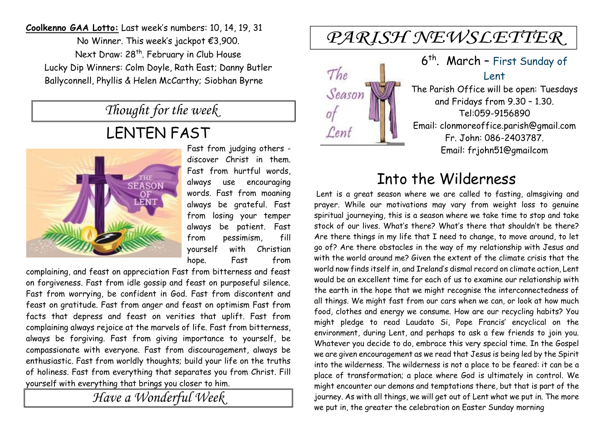**Coolkenno GAA Lotto:** Last week's numbers: 10, 14, 19, 31 No Winner. This week's jackpot €3,900. Next Draw: 28<sup>th</sup>. February in Club House Lucky Dip Winners: Colm Doyle, Rath East; Danny Butler Ballyconnell, Phyllis & Helen McCarthy; Siobhan Byrne

*Thought for the week*

## LENTEN FAST



Fast from judging others discover Christ in them. Fast from hurtful words, always use encouraging words. Fast from moaning always be grateful. Fast from losing your temper always be patient. Fast from pessimism, fill yourself with Christian hope. Fast from

complaining, and feast on appreciation Fast from bitterness and feast on forgiveness. Fast from idle gossip and feast on purposeful silence. Fast from worrying, be confident in God. Fast from discontent and feast on gratitude. Fast from anger and feast on optimism Fast from facts that depress and feast on verities that uplift. Fast from complaining always rejoice at the marvels of life. Fast from bitterness, always be forgiving. Fast from giving importance to yourself, be compassionate with everyone. Fast from discouragement, always be enthusiastic. Fast from worldly thoughts; build your life on the truths of holiness. Fast from everything that separates you from Christ. Fill yourself with everything that brings you closer to him.

*Have a Wonderful Week* 

# PARISH NEWSLETTER



6<sup>th</sup>. March - First Sunday of Lent The Parish Office will be open: Tuesdays

and Fridays from 9.30 – 1.30. Tel:059-9156890 Email: clonmoreoffice.parish@gmail.com Fr. John: 086-2403787. Email: frjohn51@gmailcom

### Into the Wilderness

Lent is a great season where we are called to fasting, almsgiving and prayer. While our motivations may vary from weight loss to genuine spiritual journeying, this is a season where we take time to stop and take stock of our lives. What's there? What's there that shouldn't be there? Are there things in my life that I need to change, to move around, to let go of? Are there obstacles in the way of my relationship with Jesus and with the world around me? Given the extent of the climate crisis that the world now finds itself in, and Ireland's dismal record on climate action, Lent would be an excellent time for each of us to examine our relationship with the earth in the hope that we might recognise the interconnectedness of all things. We might fast from our cars when we can, or look at how much food, clothes and energy we consume. How are our recycling habits? You might pledge to read Laudato Si, Pope Francis' encyclical on the environment, during Lent, and perhaps to ask a few friends to join you. Whatever you decide to do, embrace this very special time. In the Gospel we are given encouragement as we read that Jesus is being led by the Spirit into the wilderness. The wilderness is not a place to be feared: it can be a place of transformation; a place where God is ultimately in control. We might encounter our demons and temptations there, but that is part of the journey. As with all things, we will get out of Lent what we put in. The more we put in, the greater the celebration on Easter Sunday morning